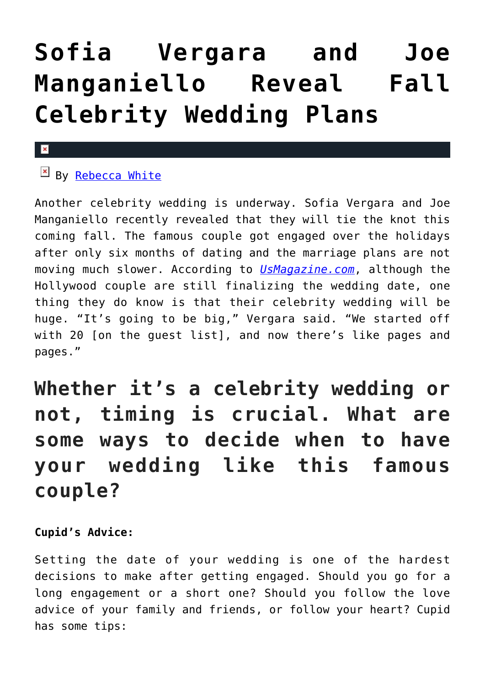# **[Sofia Vergara and Joe](https://cupidspulse.com/85743/soon-to-be-married-celebrity-couple-sofia-vergara-joe-manganiello-fall-celebrity-wedding-plans/) [Manganiello Reveal Fall](https://cupidspulse.com/85743/soon-to-be-married-celebrity-couple-sofia-vergara-joe-manganiello-fall-celebrity-wedding-plans/) [Celebrity Wedding Plans](https://cupidspulse.com/85743/soon-to-be-married-celebrity-couple-sofia-vergara-joe-manganiello-fall-celebrity-wedding-plans/)**

### $\mathbf{x}$

## $\overline{\mathbb{F}}$  By [Rebecca White](http://cupidspulse.com/104603/rebecca-white/)

Another celebrity wedding is underway. Sofia Vergara and Joe Manganiello recently revealed that they will tie the knot this coming fall. The famous couple got engaged over the holidays after only six months of dating and the marriage plans are not moving much slower. According to *[UsMagazine.com](http://www.usmagazine.com/celebrity-news/news/sofia-vergara-talks-engagement-at-2015-sag-awards-wants-fall-wedding--2015261)*, although the Hollywood couple are still finalizing the wedding date, one thing they do know is that their celebrity wedding will be huge. "It's going to be big," Vergara said. "We started off with 20 [on the guest list], and now there's like pages and pages."

# **Whether it's a celebrity wedding or not, timing is crucial. What are some ways to decide when to have your wedding like this famous couple?**

#### **Cupid's Advice:**

Setting the date of your wedding is one of the hardest decisions to make after getting engaged. Should you go for a long engagement or a short one? Should you follow the love advice of your family and friends, or follow your heart? Cupid has some tips: